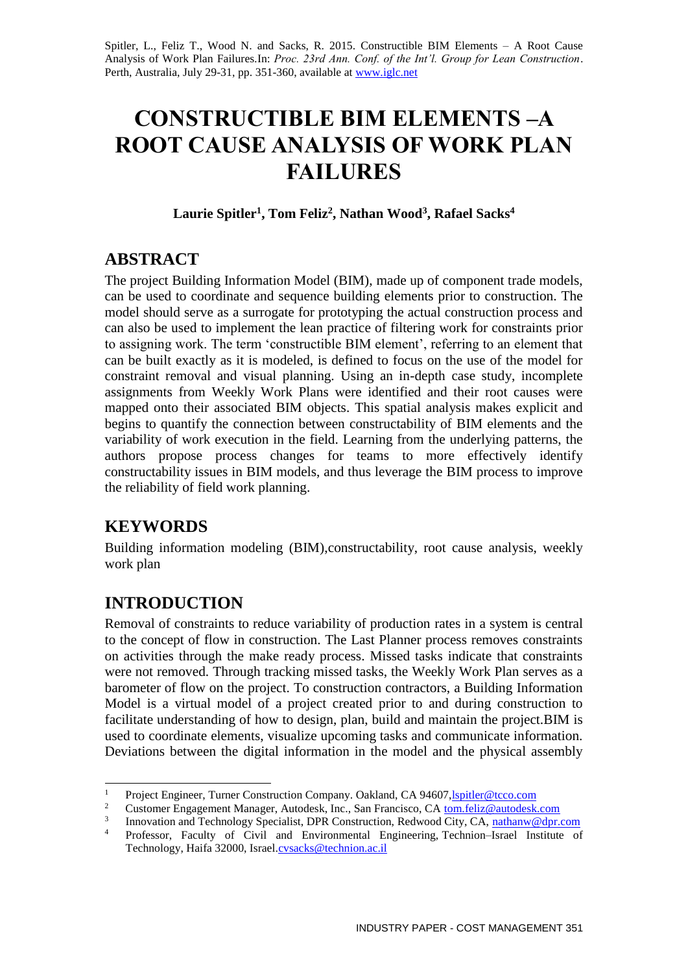Spitler, L., Feliz T., Wood N. and Sacks, R. 2015. Constructible BIM Elements – A Root Cause Analysis of Work Plan Failures*.*In: *Proc. 23rd Ann. Conf. of the Int'l. Group for Lean Construction*. Perth, Australia, July 29-31, pp. 351-360, available a[t www.iglc.net](http://www.iglc.net/)

# **CONSTRUCTIBLE BIM ELEMENTS –A ROOT CAUSE ANALYSIS OF WORK PLAN FAILURES**

**Laurie Spitler<sup>1</sup> , Tom Feliz<sup>2</sup> , Nathan Wood<sup>3</sup> , Rafael Sacks<sup>4</sup>**

### **ABSTRACT**

The project Building Information Model (BIM), made up of component trade models, can be used to coordinate and sequence building elements prior to construction. The model should serve as a surrogate for prototyping the actual construction process and can also be used to implement the lean practice of filtering work for constraints prior to assigning work. The term 'constructible BIM element', referring to an element that can be built exactly as it is modeled, is defined to focus on the use of the model for constraint removal and visual planning. Using an in-depth case study, incomplete assignments from Weekly Work Plans were identified and their root causes were mapped onto their associated BIM objects. This spatial analysis makes explicit and begins to quantify the connection between constructability of BIM elements and the variability of work execution in the field. Learning from the underlying patterns, the authors propose process changes for teams to more effectively identify constructability issues in BIM models, and thus leverage the BIM process to improve the reliability of field work planning.

# **KEYWORDS**

Building information modeling (BIM),constructability, root cause analysis, weekly work plan

# **INTRODUCTION**

Removal of constraints to reduce variability of production rates in a system is central to the concept of flow in construction. The Last Planner process removes constraints on activities through the make ready process. Missed tasks indicate that constraints were not removed. Through tracking missed tasks, the Weekly Work Plan serves as a barometer of flow on the project. To construction contractors, a Building Information Model is a virtual model of a project created prior to and during construction to facilitate understanding of how to design, plan, build and maintain the project.BIM is used to coordinate elements, visualize upcoming tasks and communicate information. Deviations between the digital information in the model and the physical assembly

 $\mathbf{1}$ <sup>1</sup> Project Engineer, Turner Construction Company. Oakland, CA 94607[,lspitler@tcco.com](mailto:lspitler@tcco.com)

<sup>2</sup> Customer Engagement Manager, Autodesk, Inc., San Francisco, CA [tom.feliz@autodesk.com](mailto:tom.feliz@autodesk.com)

<sup>3</sup> Innovation and Technology Specialist, DPR Construction, Redwood City, CA, [nathanw@dpr.com](mailto:nathanw@dpr.com)

<sup>4</sup> Professor, Faculty of Civil and Environmental Engineering, Technion–Israel Institute of Technology, Haifa 32000, Israel[.cvsacks@technion.ac.il](mailto:cvsacks@technion.ac.il)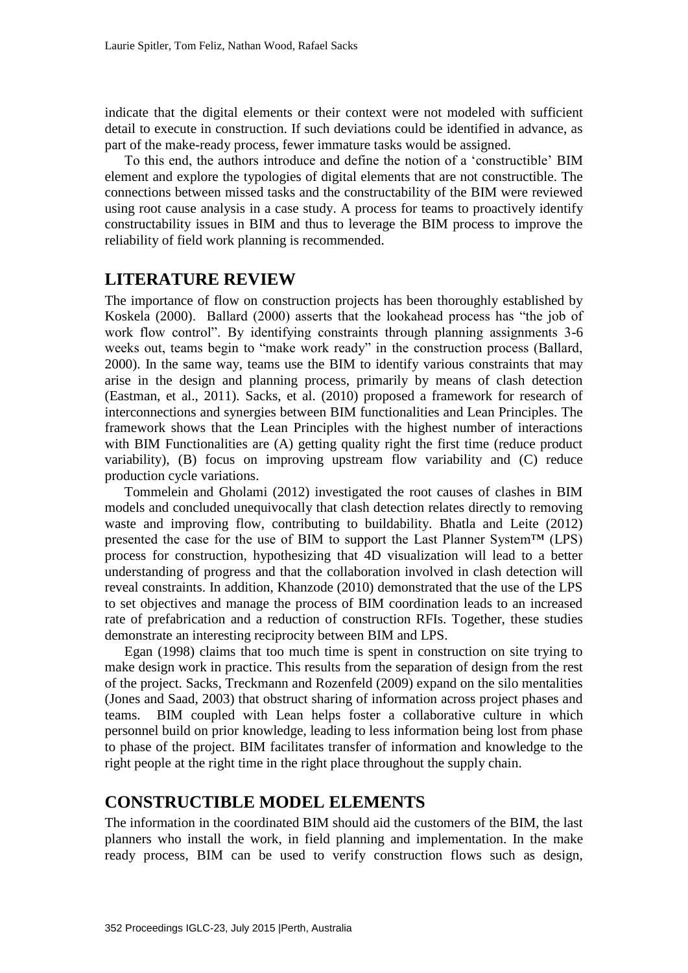indicate that the digital elements or their context were not modeled with sufficient detail to execute in construction. If such deviations could be identified in advance, as part of the make-ready process, fewer immature tasks would be assigned.

To this end, the authors introduce and define the notion of a 'constructible' BIM element and explore the typologies of digital elements that are not constructible. The connections between missed tasks and the constructability of the BIM were reviewed using root cause analysis in a case study. A process for teams to proactively identify constructability issues in BIM and thus to leverage the BIM process to improve the reliability of field work planning is recommended.

### **LITERATURE REVIEW**

The importance of flow on construction projects has been thoroughly established by Koskela (2000). Ballard (2000) asserts that the lookahead process has "the job of work flow control". By identifying constraints through planning assignments 3-6 weeks out, teams begin to "make work ready" in the construction process (Ballard, 2000). In the same way, teams use the BIM to identify various constraints that may arise in the design and planning process, primarily by means of clash detection (Eastman, et al., 2011). Sacks, et al. (2010) proposed a framework for research of interconnections and synergies between BIM functionalities and Lean Principles. The framework shows that the Lean Principles with the highest number of interactions with BIM Functionalities are (A) getting quality right the first time (reduce product variability), (B) focus on improving upstream flow variability and (C) reduce production cycle variations.

Tommelein and Gholami (2012) investigated the root causes of clashes in BIM models and concluded unequivocally that clash detection relates directly to removing waste and improving flow, contributing to buildability. Bhatla and Leite (2012) presented the case for the use of BIM to support the Last Planner System™ (LPS) process for construction, hypothesizing that 4D visualization will lead to a better understanding of progress and that the collaboration involved in clash detection will reveal constraints. In addition, Khanzode (2010) demonstrated that the use of the LPS to set objectives and manage the process of BIM coordination leads to an increased rate of prefabrication and a reduction of construction RFIs. Together, these studies demonstrate an interesting reciprocity between BIM and LPS.

Egan (1998) claims that too much time is spent in construction on site trying to make design work in practice. This results from the separation of design from the rest of the project. Sacks, Treckmann and Rozenfeld (2009) expand on the silo mentalities (Jones and Saad, 2003) that obstruct sharing of information across project phases and teams. BIM coupled with Lean helps foster a collaborative culture in which personnel build on prior knowledge, leading to less information being lost from phase to phase of the project. BIM facilitates transfer of information and knowledge to the right people at the right time in the right place throughout the supply chain.

### **CONSTRUCTIBLE MODEL ELEMENTS**

The information in the coordinated BIM should aid the customers of the BIM, the last planners who install the work, in field planning and implementation. In the make ready process, BIM can be used to verify construction flows such as design,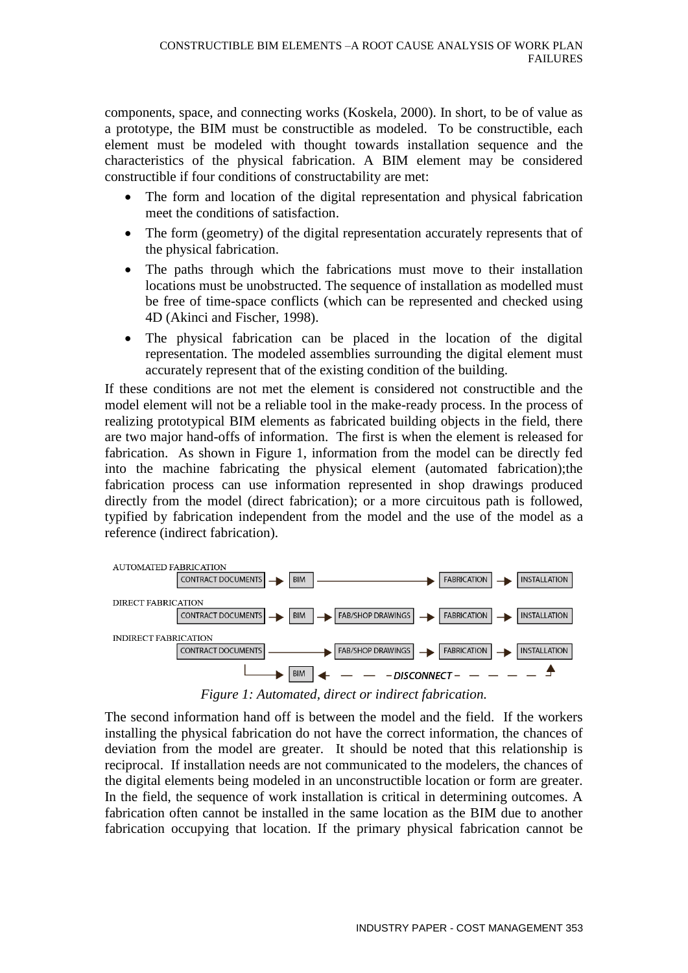components, space, and connecting works (Koskela, 2000). In short, to be of value as a prototype, the BIM must be constructible as modeled. To be constructible, each element must be modeled with thought towards installation sequence and the characteristics of the physical fabrication. A BIM element may be considered constructible if four conditions of constructability are met:

- The form and location of the digital representation and physical fabrication meet the conditions of satisfaction.
- The form (geometry) of the digital representation accurately represents that of the physical fabrication.
- The paths through which the fabrications must move to their installation locations must be unobstructed. The sequence of installation as modelled must be free of time-space conflicts (which can be represented and checked using 4D (Akinci and Fischer, 1998).
- The physical fabrication can be placed in the location of the digital representation. The modeled assemblies surrounding the digital element must accurately represent that of the existing condition of the building.

If these conditions are not met the element is considered not constructible and the model element will not be a reliable tool in the make-ready process. In the process of realizing prototypical BIM elements as fabricated building objects in the field, there are two major hand-offs of information. The first is when the element is released for fabrication. As shown in Figure 1, information from the model can be directly fed into the machine fabricating the physical element (automated fabrication);the fabrication process can use information represented in shop drawings produced directly from the model (direct fabrication); or a more circuitous path is followed, typified by fabrication independent from the model and the use of the model as a reference (indirect fabrication).



*Figure 1: Automated, direct or indirect fabrication.* 

The second information hand off is between the model and the field. If the workers installing the physical fabrication do not have the correct information, the chances of deviation from the model are greater. It should be noted that this relationship is reciprocal. If installation needs are not communicated to the modelers, the chances of the digital elements being modeled in an unconstructible location or form are greater. In the field, the sequence of work installation is critical in determining outcomes. A fabrication often cannot be installed in the same location as the BIM due to another fabrication occupying that location. If the primary physical fabrication cannot be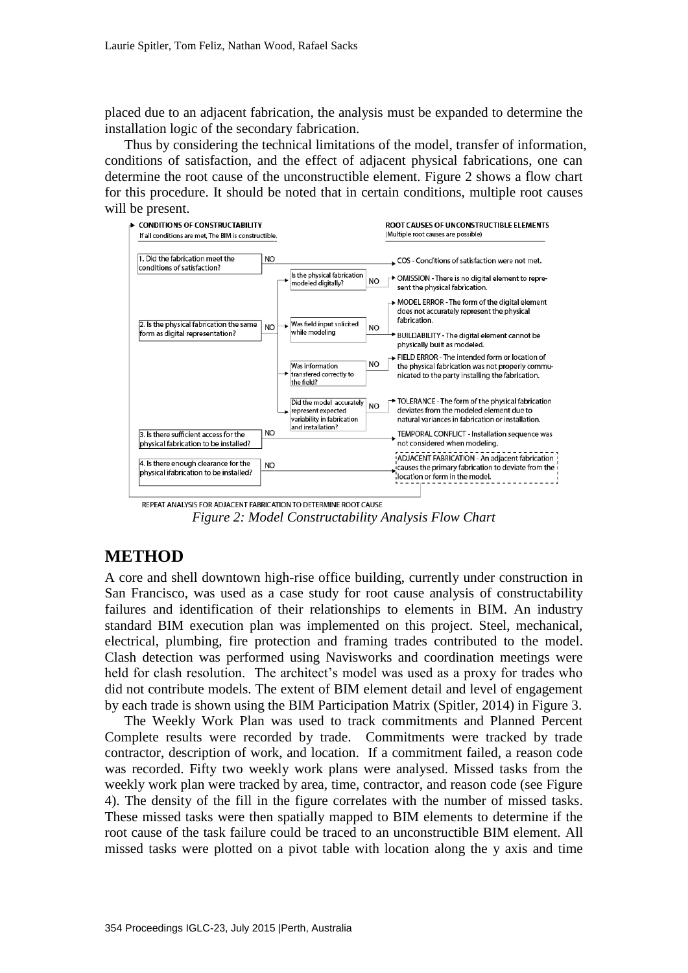placed due to an adjacent fabrication, the analysis must be expanded to determine the installation logic of the secondary fabrication.

Thus by considering the technical limitations of the model, transfer of information, conditions of satisfaction, and the effect of adjacent physical fabrications, one can determine the root cause of the unconstructible element. Figure 2 shows a flow chart for this procedure. It should be noted that in certain conditions, multiple root causes will be present.



REPEAT ANALYSIS FOR ADJACENT FABRICATION TO DETERMINE ROOT CAUSE *Figure 2: Model Constructability Analysis Flow Chart*

### **METHOD**

A core and shell downtown high-rise office building, currently under construction in San Francisco, was used as a case study for root cause analysis of constructability failures and identification of their relationships to elements in BIM. An industry standard BIM execution plan was implemented on this project. Steel, mechanical, electrical, plumbing, fire protection and framing trades contributed to the model. Clash detection was performed using Navisworks and coordination meetings were held for clash resolution. The architect's model was used as a proxy for trades who did not contribute models. The extent of BIM element detail and level of engagement by each trade is shown using the BIM Participation Matrix (Spitler, 2014) in Figure 3.

The Weekly Work Plan was used to track commitments and Planned Percent Complete results were recorded by trade. Commitments were tracked by trade contractor, description of work, and location. If a commitment failed, a reason code was recorded. Fifty two weekly work plans were analysed. Missed tasks from the weekly work plan were tracked by area, time, contractor, and reason code (see Figure 4). The density of the fill in the figure correlates with the number of missed tasks. These missed tasks were then spatially mapped to BIM elements to determine if the root cause of the task failure could be traced to an unconstructible BIM element. All missed tasks were plotted on a pivot table with location along the y axis and time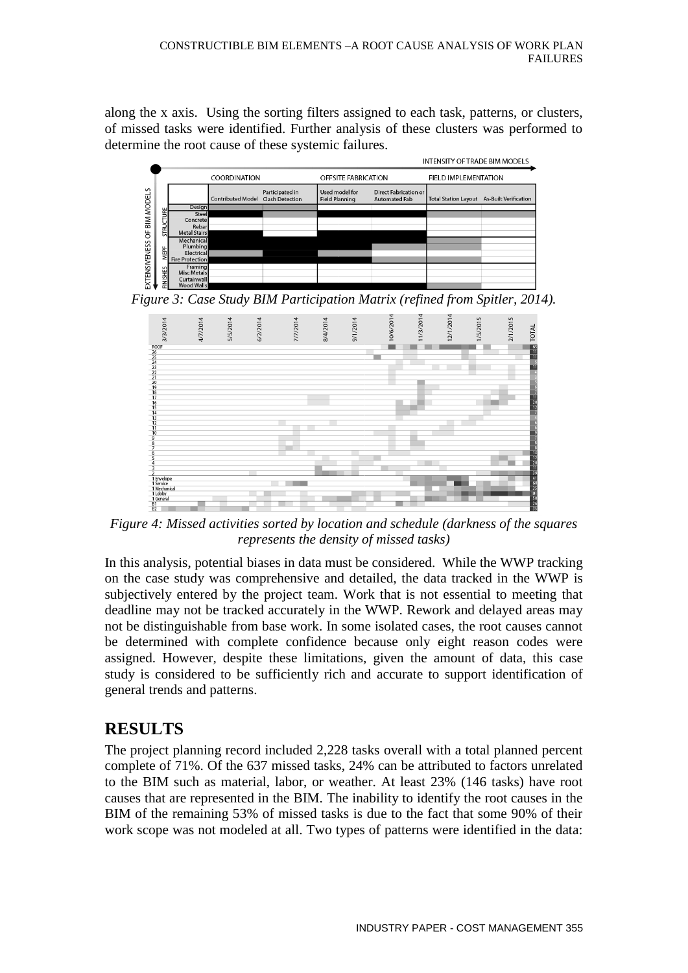along the x axis. Using the sorting filters assigned to each task, patterns, or clusters, of missed tasks were identified. Further analysis of these clusters was performed to determine the root cause of these systemic failures.



*Figure 3: Case Study BIM Participation Matrix (refined from Spitler, 2014).*



*Figure 4: Missed activities sorted by location and schedule (darkness of the squares represents the density of missed tasks)*

In this analysis, potential biases in data must be considered. While the WWP tracking on the case study was comprehensive and detailed, the data tracked in the WWP is subjectively entered by the project team. Work that is not essential to meeting that deadline may not be tracked accurately in the WWP. Rework and delayed areas may not be distinguishable from base work. In some isolated cases, the root causes cannot be determined with complete confidence because only eight reason codes were assigned. However, despite these limitations, given the amount of data, this case study is considered to be sufficiently rich and accurate to support identification of general trends and patterns.

# **RESULTS**

The project planning record included 2,228 tasks overall with a total planned percent complete of 71%. Of the 637 missed tasks, 24% can be attributed to factors unrelated to the BIM such as material, labor, or weather. At least 23% (146 tasks) have root causes that are represented in the BIM. The inability to identify the root causes in the BIM of the remaining 53% of missed tasks is due to the fact that some 90% of their work scope was not modeled at all. Two types of patterns were identified in the data: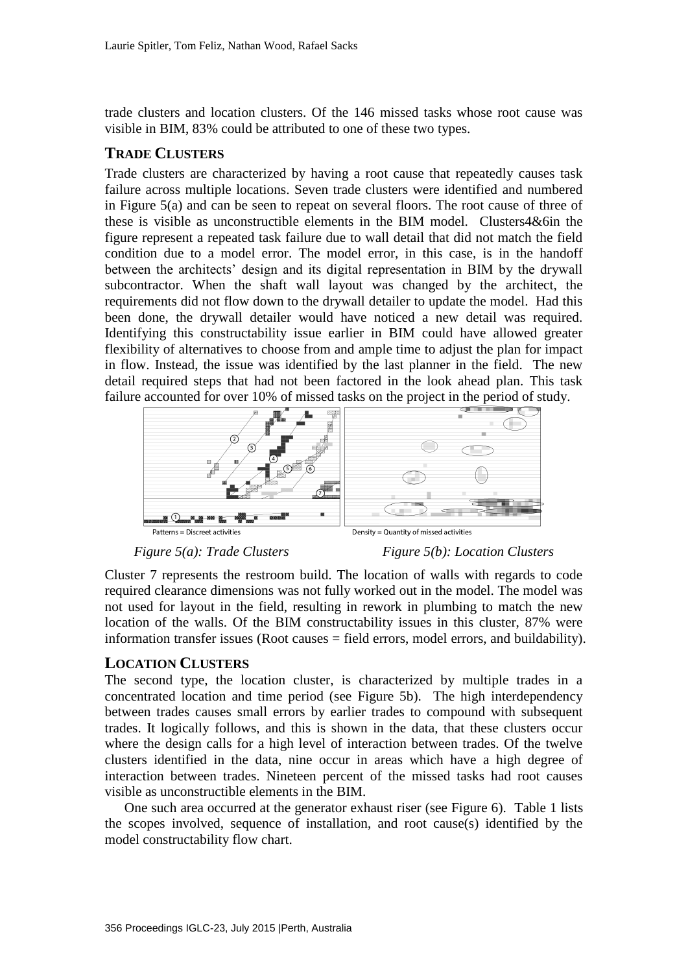trade clusters and location clusters. Of the 146 missed tasks whose root cause was visible in BIM, 83% could be attributed to one of these two types.

#### **TRADE CLUSTERS**

Trade clusters are characterized by having a root cause that repeatedly causes task failure across multiple locations. Seven trade clusters were identified and numbered in Figure 5(a) and can be seen to repeat on several floors. The root cause of three of these is visible as unconstructible elements in the BIM model. Clusters4&6in the figure represent a repeated task failure due to wall detail that did not match the field condition due to a model error. The model error, in this case, is in the handoff between the architects' design and its digital representation in BIM by the drywall subcontractor. When the shaft wall layout was changed by the architect, the requirements did not flow down to the drywall detailer to update the model. Had this been done, the drywall detailer would have noticed a new detail was required. Identifying this constructability issue earlier in BIM could have allowed greater flexibility of alternatives to choose from and ample time to adjust the plan for impact in flow. Instead, the issue was identified by the last planner in the field. The new detail required steps that had not been factored in the look ahead plan. This task failure accounted for over 10% of missed tasks on the project in the period of study.



Density = Quantity of missed activities

#### *Figure 5(a): Trade Clusters Figure 5(b): Location Clusters*

Cluster 7 represents the restroom build. The location of walls with regards to code required clearance dimensions was not fully worked out in the model. The model was not used for layout in the field, resulting in rework in plumbing to match the new location of the walls. Of the BIM constructability issues in this cluster, 87% were information transfer issues (Root causes = field errors, model errors, and buildability).

#### **LOCATION CLUSTERS**

The second type, the location cluster, is characterized by multiple trades in a concentrated location and time period (see Figure 5b). The high interdependency between trades causes small errors by earlier trades to compound with subsequent trades. It logically follows, and this is shown in the data, that these clusters occur where the design calls for a high level of interaction between trades. Of the twelve clusters identified in the data, nine occur in areas which have a high degree of interaction between trades. Nineteen percent of the missed tasks had root causes visible as unconstructible elements in the BIM.

One such area occurred at the generator exhaust riser (see Figure 6). Table 1 lists the scopes involved, sequence of installation, and root cause(s) identified by the model constructability flow chart.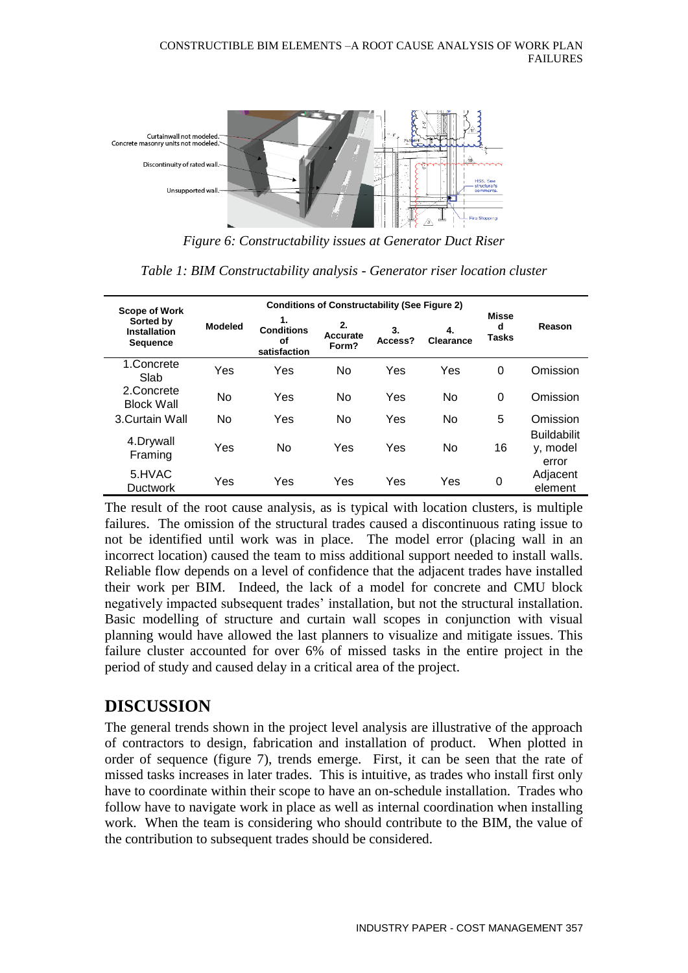

*Figure 6: Constructability issues at Generator Duct Riser*

**Scope of Work Sorted by Installation Sequence Modeled Conditions of Constructability (See Figure 2) Misse d Tasks Reason 1. Conditions of satisfaction 2. Accurate Form? 3. Access? 4. Clearance** 1.Concrete Shorocc Yes Yes No Yes Yes 0 Omission<br>Slab 2.Concrete Block Wall No Yes No Yes No <sup>0</sup> Omission 3.Curtain Wall No Yes No Yes No 5 Omission 4.Drywall Framing Yes No Yes Yes No <sup>16</sup> **Buildabilit** y, model error 5.HVAC Ductwork Yes Yes Yes Yes Yes <sup>0</sup> Adjacent element

*Table 1: BIM Constructability analysis - Generator riser location cluster* 

The result of the root cause analysis, as is typical with location clusters, is multiple failures. The omission of the structural trades caused a discontinuous rating issue to not be identified until work was in place. The model error (placing wall in an incorrect location) caused the team to miss additional support needed to install walls. Reliable flow depends on a level of confidence that the adjacent trades have installed their work per BIM. Indeed, the lack of a model for concrete and CMU block negatively impacted subsequent trades' installation, but not the structural installation. Basic modelling of structure and curtain wall scopes in conjunction with visual planning would have allowed the last planners to visualize and mitigate issues. This failure cluster accounted for over 6% of missed tasks in the entire project in the period of study and caused delay in a critical area of the project.

## **DISCUSSION**

The general trends shown in the project level analysis are illustrative of the approach of contractors to design, fabrication and installation of product. When plotted in order of sequence (figure 7), trends emerge. First, it can be seen that the rate of missed tasks increases in later trades. This is intuitive, as trades who install first only have to coordinate within their scope to have an on-schedule installation. Trades who follow have to navigate work in place as well as internal coordination when installing work. When the team is considering who should contribute to the BIM, the value of the contribution to subsequent trades should be considered.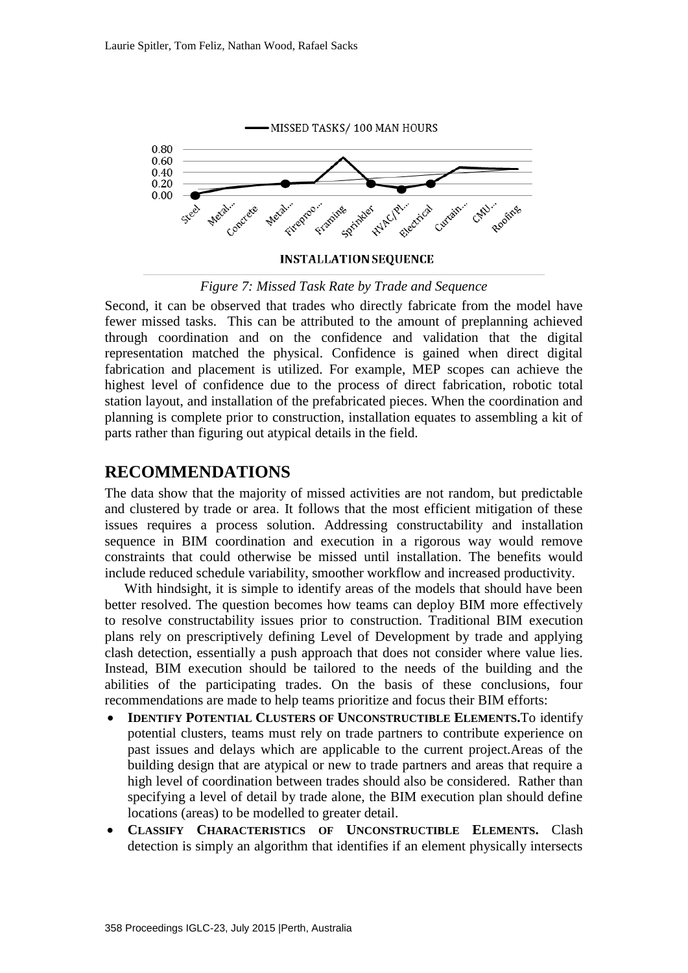

**INSTALLATION SEQUENCE** 

*Figure 7: Missed Task Rate by Trade and Sequence* 

Second, it can be observed that trades who directly fabricate from the model have fewer missed tasks. This can be attributed to the amount of preplanning achieved through coordination and on the confidence and validation that the digital representation matched the physical. Confidence is gained when direct digital fabrication and placement is utilized. For example, MEP scopes can achieve the highest level of confidence due to the process of direct fabrication, robotic total station layout, and installation of the prefabricated pieces. When the coordination and planning is complete prior to construction, installation equates to assembling a kit of parts rather than figuring out atypical details in the field.

#### **RECOMMENDATIONS**

The data show that the majority of missed activities are not random, but predictable and clustered by trade or area. It follows that the most efficient mitigation of these issues requires a process solution. Addressing constructability and installation sequence in BIM coordination and execution in a rigorous way would remove constraints that could otherwise be missed until installation. The benefits would include reduced schedule variability, smoother workflow and increased productivity.

With hindsight, it is simple to identify areas of the models that should have been better resolved. The question becomes how teams can deploy BIM more effectively to resolve constructability issues prior to construction. Traditional BIM execution plans rely on prescriptively defining Level of Development by trade and applying clash detection, essentially a push approach that does not consider where value lies. Instead, BIM execution should be tailored to the needs of the building and the abilities of the participating trades. On the basis of these conclusions, four recommendations are made to help teams prioritize and focus their BIM efforts:

- **IDENTIFY POTENTIAL CLUSTERS OF UNCONSTRUCTIBLE ELEMENTS.**To identify potential clusters, teams must rely on trade partners to contribute experience on past issues and delays which are applicable to the current project.Areas of the building design that are atypical or new to trade partners and areas that require a high level of coordination between trades should also be considered. Rather than specifying a level of detail by trade alone, the BIM execution plan should define locations (areas) to be modelled to greater detail.
- **CLASSIFY CHARACTERISTICS OF UNCONSTRUCTIBLE ELEMENTS.** Clash detection is simply an algorithm that identifies if an element physically intersects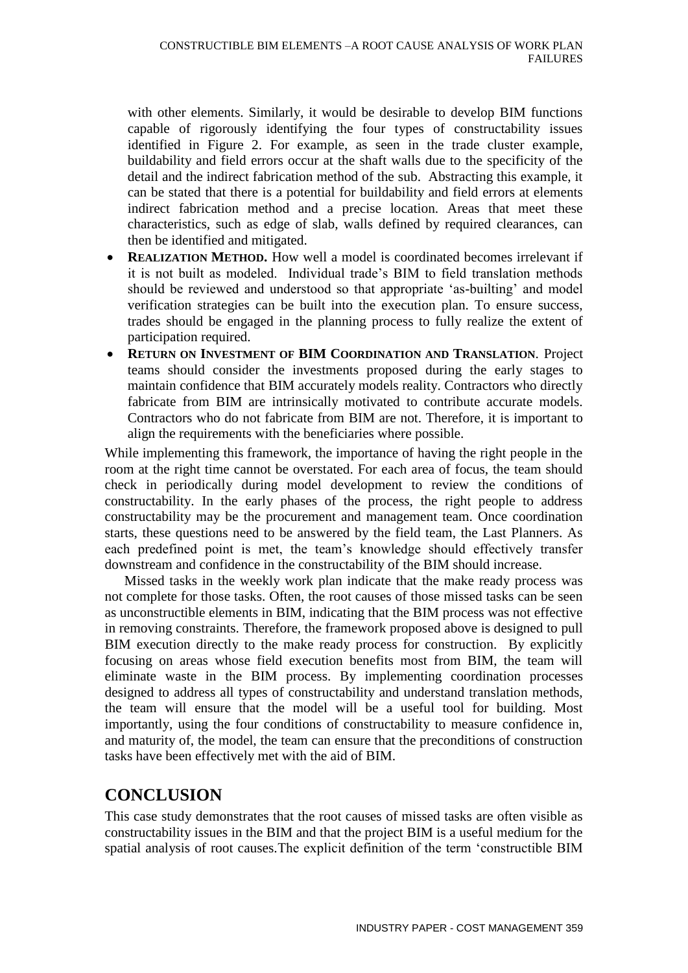with other elements. Similarly, it would be desirable to develop BIM functions capable of rigorously identifying the four types of constructability issues identified in Figure 2. For example, as seen in the trade cluster example, buildability and field errors occur at the shaft walls due to the specificity of the detail and the indirect fabrication method of the sub. Abstracting this example, it can be stated that there is a potential for buildability and field errors at elements indirect fabrication method and a precise location. Areas that meet these characteristics, such as edge of slab, walls defined by required clearances, can then be identified and mitigated.

- **REALIZATION METHOD.** How well a model is coordinated becomes irrelevant if it is not built as modeled. Individual trade's BIM to field translation methods should be reviewed and understood so that appropriate 'as-builting' and model verification strategies can be built into the execution plan. To ensure success, trades should be engaged in the planning process to fully realize the extent of participation required.
- **RETURN ON INVESTMENT OF BIM COORDINATION AND TRANSLATION**. Project teams should consider the investments proposed during the early stages to maintain confidence that BIM accurately models reality. Contractors who directly fabricate from BIM are intrinsically motivated to contribute accurate models. Contractors who do not fabricate from BIM are not. Therefore, it is important to align the requirements with the beneficiaries where possible.

While implementing this framework, the importance of having the right people in the room at the right time cannot be overstated. For each area of focus, the team should check in periodically during model development to review the conditions of constructability. In the early phases of the process, the right people to address constructability may be the procurement and management team. Once coordination starts, these questions need to be answered by the field team, the Last Planners. As each predefined point is met, the team's knowledge should effectively transfer downstream and confidence in the constructability of the BIM should increase.

Missed tasks in the weekly work plan indicate that the make ready process was not complete for those tasks. Often, the root causes of those missed tasks can be seen as unconstructible elements in BIM, indicating that the BIM process was not effective in removing constraints. Therefore, the framework proposed above is designed to pull BIM execution directly to the make ready process for construction. By explicitly focusing on areas whose field execution benefits most from BIM, the team will eliminate waste in the BIM process. By implementing coordination processes designed to address all types of constructability and understand translation methods, the team will ensure that the model will be a useful tool for building. Most importantly, using the four conditions of constructability to measure confidence in, and maturity of, the model, the team can ensure that the preconditions of construction tasks have been effectively met with the aid of BIM.

## **CONCLUSION**

This case study demonstrates that the root causes of missed tasks are often visible as constructability issues in the BIM and that the project BIM is a useful medium for the spatial analysis of root causes.The explicit definition of the term 'constructible BIM